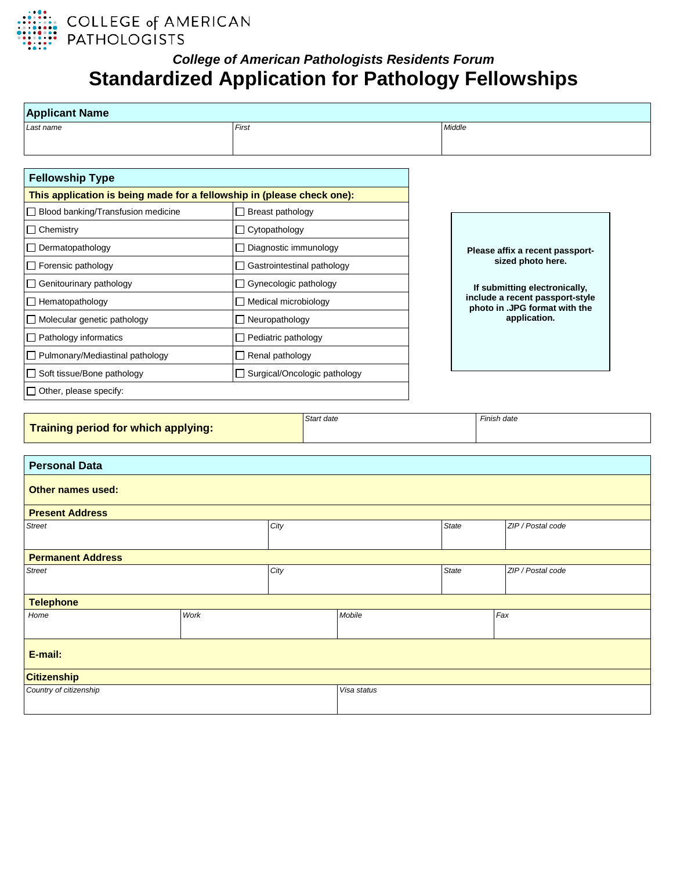

## *College of American Pathologists Residents Forum* **Standardized Application for Pathology Fellowships**

| <b>Applicant Name</b>                                                  |      |                                |  |              |                                                                  |  |  |
|------------------------------------------------------------------------|------|--------------------------------|--|--------------|------------------------------------------------------------------|--|--|
| Last name                                                              |      | First                          |  | Middle       |                                                                  |  |  |
|                                                                        |      |                                |  |              |                                                                  |  |  |
|                                                                        |      |                                |  |              |                                                                  |  |  |
| <b>Fellowship Type</b>                                                 |      |                                |  |              |                                                                  |  |  |
| This application is being made for a fellowship in (please check one): |      |                                |  |              |                                                                  |  |  |
| □ Blood banking/Transfusion medicine                                   |      | $\Box$ Breast pathology        |  |              |                                                                  |  |  |
| $\Box$ Chemistry                                                       |      | □ Cytopathology                |  |              |                                                                  |  |  |
| $\Box$ Dermatopathology                                                |      | $\Box$ Diagnostic immunology   |  |              | Please affix a recent passport-                                  |  |  |
| $\Box$ Forensic pathology                                              |      | □ Gastrointestinal pathology   |  |              | sized photo here.                                                |  |  |
| Genitourinary pathology                                                |      | □ Gynecologic pathology        |  |              | If submitting electronically,                                    |  |  |
| $\Box$ Hematopathology                                                 |      | $\Box$ Medical microbiology    |  |              | include a recent passport-style<br>photo in .JPG format with the |  |  |
| $\Box$ Molecular genetic pathology                                     |      | $\Box$ Neuropathology          |  |              | application.                                                     |  |  |
| $\Box$ Pathology informatics                                           |      | $\Box$ Pediatric pathology     |  |              |                                                                  |  |  |
| □ Pulmonary/Mediastinal pathology                                      |      | Renal pathology                |  |              |                                                                  |  |  |
| Soft tissue/Bone pathology                                             |      | □ Surgical/Oncologic pathology |  |              |                                                                  |  |  |
| $\Box$ Other, please specify:                                          |      |                                |  |              |                                                                  |  |  |
| Start date<br>Training period for which applying:                      |      |                                |  |              | Finish date                                                      |  |  |
| <b>Personal Data</b>                                                   |      |                                |  |              |                                                                  |  |  |
| <b>Other names used:</b>                                               |      |                                |  |              |                                                                  |  |  |
| <b>Present Address</b>                                                 |      |                                |  |              |                                                                  |  |  |
| <b>Street</b>                                                          |      | City                           |  | <b>State</b> | ZIP / Postal code                                                |  |  |
| <b>Permanent Address</b>                                               |      |                                |  |              |                                                                  |  |  |
| <b>Street</b><br>City                                                  |      |                                |  |              | ZIP / Postal code                                                |  |  |
| <b>Telephone</b>                                                       |      |                                |  |              |                                                                  |  |  |
| Home                                                                   | Work | Mobile                         |  | Fax          |                                                                  |  |  |
| E-mail:                                                                |      |                                |  |              |                                                                  |  |  |
| <b>Citizenship</b>                                                     |      |                                |  |              |                                                                  |  |  |
| Country of citizenship                                                 |      | Visa status                    |  |              |                                                                  |  |  |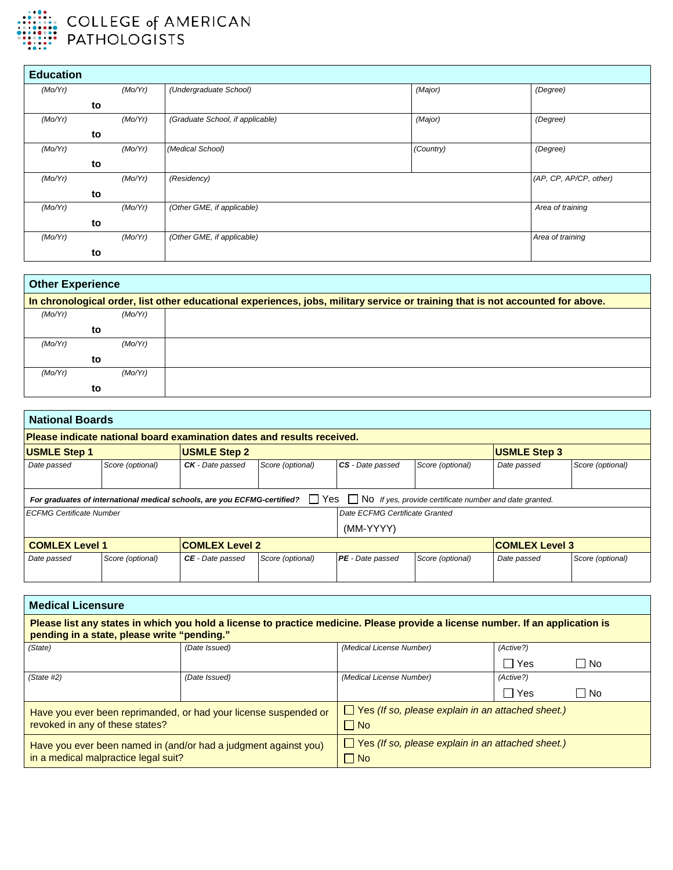

| <b>Education</b> |         |                                  |           |                        |
|------------------|---------|----------------------------------|-----------|------------------------|
| (Mo/Yr)          | (Mo/Yr) | (Undergraduate School)           | (Major)   | (Degree)               |
|                  | to      |                                  |           |                        |
| (Mo/Yr)          | (Mo/Yr) | (Graduate School, if applicable) | (Major)   | (Degree)               |
|                  | to      |                                  |           |                        |
| (Mo/Yr)          | (Mo/Yr) | (Medical School)                 | (Country) | (Degree)               |
|                  | to      |                                  |           |                        |
| (Mo/Yr)          | (Mo/Yr) | (Residency)                      |           | (AP, CP, AP/CP, other) |
|                  | to      |                                  |           |                        |
| (Mo/Yr)          | (Mo/Yr) | (Other GME, if applicable)       |           | Area of training       |
|                  | to      |                                  |           |                        |
| (Mo/Yr)          | (Mo/Yr) | (Other GME, if applicable)       |           | Area of training       |
|                  | to      |                                  |           |                        |

| <b>Other Experience</b> |         |                                                                                                                                 |
|-------------------------|---------|---------------------------------------------------------------------------------------------------------------------------------|
|                         |         | In chronological order, list other educational experiences, jobs, military service or training that is not accounted for above. |
| (Mo/Yr)                 | (Mo/Yr) |                                                                                                                                 |
|                         | to      |                                                                                                                                 |
| (Mo/Yr)                 | (Mo/Yr) |                                                                                                                                 |
|                         | to      |                                                                                                                                 |
| (Mo/Yr)                 | (Mo/Yr) |                                                                                                                                 |
|                         | to      |                                                                                                                                 |

| <b>National Boards</b>                                                  |                  |                                                                          |                  |                     |                                                                           |             |                  |
|-------------------------------------------------------------------------|------------------|--------------------------------------------------------------------------|------------------|---------------------|---------------------------------------------------------------------------|-------------|------------------|
| Please indicate national board examination dates and results received.  |                  |                                                                          |                  |                     |                                                                           |             |                  |
| <b>USMLE Step 2</b><br><b>USMLE Step 1</b>                              |                  |                                                                          |                  | <b>USMLE Step 3</b> |                                                                           |             |                  |
| Date passed                                                             | Score (optional) | <b>CK</b> - Date passed                                                  | Score (optional) | CS - Date passed    | Score (optional)                                                          | Date passed | Score (optional) |
|                                                                         |                  |                                                                          |                  |                     |                                                                           |             |                  |
|                                                                         |                  | For graduates of international medical schools, are you ECFMG-certified? |                  |                     | $\Box$ Yes $\Box$ No If yes, provide certificate number and date granted. |             |                  |
| Date ECFMG Certificate Granted<br><b>ECFMG Certificate Number</b>       |                  |                                                                          |                  |                     |                                                                           |             |                  |
| (MM-YYYY)                                                               |                  |                                                                          |                  |                     |                                                                           |             |                  |
| <b>COMLEX Level 2</b><br><b>COMLEX Level 3</b><br><b>COMLEX Level 1</b> |                  |                                                                          |                  |                     |                                                                           |             |                  |
| Date passed                                                             | Score (optional) | <b>CE</b> - Date passed                                                  | Score (optional) | PE - Date passed    | Score (optional)                                                          | Date passed | Score (optional) |
|                                                                         |                  |                                                                          |                  |                     |                                                                           |             |                  |

| <b>Medical Licensure</b>                                                                                                                                                      |               |                                                          |            |           |  |
|-------------------------------------------------------------------------------------------------------------------------------------------------------------------------------|---------------|----------------------------------------------------------|------------|-----------|--|
| Please list any states in which you hold a license to practice medicine. Please provide a license number. If an application is<br>pending in a state, please write "pending." |               |                                                          |            |           |  |
| (State)                                                                                                                                                                       | (Date Issued) | (Medical License Number)                                 | (Active?)  |           |  |
|                                                                                                                                                                               |               |                                                          | $\Box$ Yes | l INo     |  |
| (State #2)                                                                                                                                                                    | (Date Issued) | (Medical License Number)                                 | (Active?)  |           |  |
|                                                                                                                                                                               |               |                                                          | ∏ Yes      | $\Box$ No |  |
| Have you ever been reprimanded, or had your license suspended or                                                                                                              |               | $\Box$ Yes (If so, please explain in an attached sheet.) |            |           |  |
| revoked in any of these states?                                                                                                                                               |               | $\Box$ No                                                |            |           |  |
| Have you ever been named in (and/or had a judgment against you)                                                                                                               |               | $\Box$ Yes (If so, please explain in an attached sheet.) |            |           |  |
| in a medical malpractice legal suit?                                                                                                                                          |               | $\Box$ No                                                |            |           |  |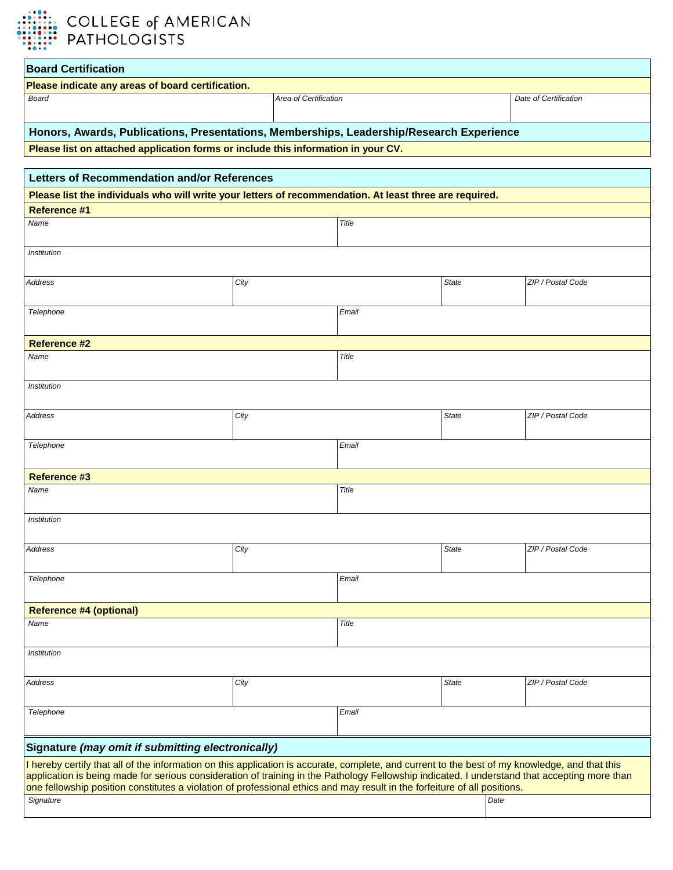

| <b>Board Certification</b>                                                                                                                                                                                                                                                                                                                                                                                                  |                       |       |                       |                   |  |
|-----------------------------------------------------------------------------------------------------------------------------------------------------------------------------------------------------------------------------------------------------------------------------------------------------------------------------------------------------------------------------------------------------------------------------|-----------------------|-------|-----------------------|-------------------|--|
| Please indicate any areas of board certification.                                                                                                                                                                                                                                                                                                                                                                           |                       |       |                       |                   |  |
| Board                                                                                                                                                                                                                                                                                                                                                                                                                       | Area of Certification |       | Date of Certification |                   |  |
| Honors, Awards, Publications, Presentations, Memberships, Leadership/Research Experience                                                                                                                                                                                                                                                                                                                                    |                       |       |                       |                   |  |
| Please list on attached application forms or include this information in your CV.                                                                                                                                                                                                                                                                                                                                           |                       |       |                       |                   |  |
|                                                                                                                                                                                                                                                                                                                                                                                                                             |                       |       |                       |                   |  |
| Letters of Recommendation and/or References                                                                                                                                                                                                                                                                                                                                                                                 |                       |       |                       |                   |  |
| Please list the individuals who will write your letters of recommendation. At least three are required.                                                                                                                                                                                                                                                                                                                     |                       |       |                       |                   |  |
| <b>Reference #1</b>                                                                                                                                                                                                                                                                                                                                                                                                         |                       |       |                       |                   |  |
| Name                                                                                                                                                                                                                                                                                                                                                                                                                        |                       | Title |                       |                   |  |
| Institution                                                                                                                                                                                                                                                                                                                                                                                                                 |                       |       |                       |                   |  |
| <b>Address</b>                                                                                                                                                                                                                                                                                                                                                                                                              | City                  |       | <b>State</b>          | ZIP / Postal Code |  |
| Telephone<br>Email                                                                                                                                                                                                                                                                                                                                                                                                          |                       |       |                       |                   |  |
| <b>Reference #2</b>                                                                                                                                                                                                                                                                                                                                                                                                         |                       |       |                       |                   |  |
| Name                                                                                                                                                                                                                                                                                                                                                                                                                        | Title                 |       |                       |                   |  |
| Institution                                                                                                                                                                                                                                                                                                                                                                                                                 |                       |       |                       |                   |  |
| Address                                                                                                                                                                                                                                                                                                                                                                                                                     | City                  |       | <b>State</b>          | ZIP / Postal Code |  |
| Telephone                                                                                                                                                                                                                                                                                                                                                                                                                   |                       | Email |                       |                   |  |
| <b>Reference #3</b>                                                                                                                                                                                                                                                                                                                                                                                                         |                       |       |                       |                   |  |
| Name                                                                                                                                                                                                                                                                                                                                                                                                                        |                       | Title |                       |                   |  |
| Institution                                                                                                                                                                                                                                                                                                                                                                                                                 |                       |       |                       |                   |  |
| Address                                                                                                                                                                                                                                                                                                                                                                                                                     | City                  |       | State                 | ZIP / Postal Code |  |
|                                                                                                                                                                                                                                                                                                                                                                                                                             |                       |       |                       |                   |  |
| Telephone                                                                                                                                                                                                                                                                                                                                                                                                                   |                       | Email |                       |                   |  |
| <b>Reference #4 (optional)</b>                                                                                                                                                                                                                                                                                                                                                                                              |                       |       |                       |                   |  |
| Name                                                                                                                                                                                                                                                                                                                                                                                                                        |                       | Title |                       |                   |  |
| <i><b>Institution</b></i>                                                                                                                                                                                                                                                                                                                                                                                                   |                       |       |                       |                   |  |
| <b>Address</b>                                                                                                                                                                                                                                                                                                                                                                                                              | City                  |       | <b>State</b>          | ZIP / Postal Code |  |
| Telephone<br>Email                                                                                                                                                                                                                                                                                                                                                                                                          |                       |       |                       |                   |  |
| Signature (may omit if submitting electronically)                                                                                                                                                                                                                                                                                                                                                                           |                       |       |                       |                   |  |
| I hereby certify that all of the information on this application is accurate, complete, and current to the best of my knowledge, and that this<br>application is being made for serious consideration of training in the Pathology Fellowship indicated. I understand that accepting more than<br>one fellowship position constitutes a violation of professional ethics and may result in the forfeiture of all positions. |                       |       |                       |                   |  |
| Signature                                                                                                                                                                                                                                                                                                                                                                                                                   |                       |       | Date                  |                   |  |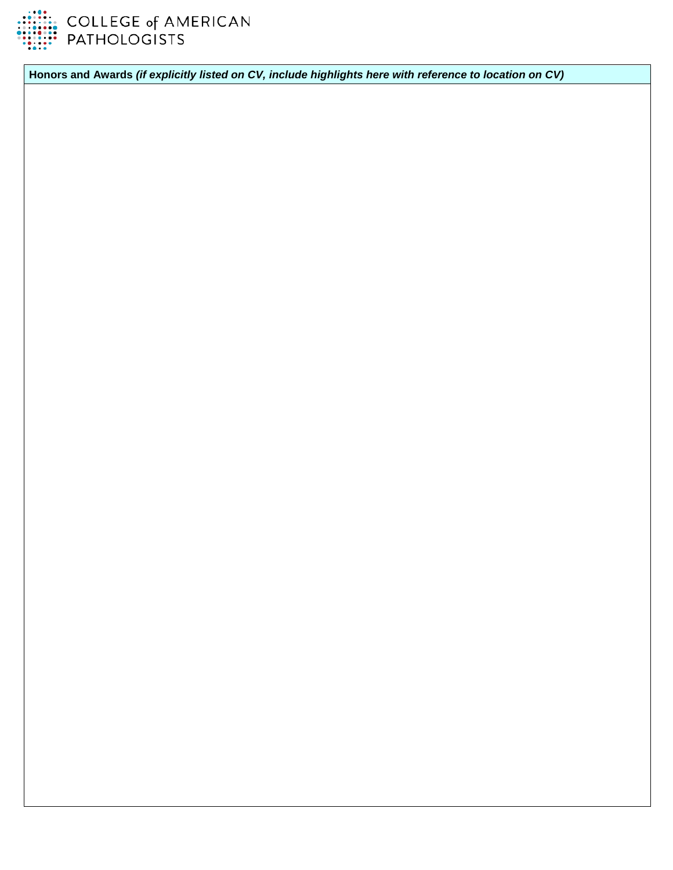

COLLEGE of AMERICAN<br>PATHOLOGISTS

**Honors and Awards** *(if explicitly listed on CV, include highlights here with reference to location on CV)*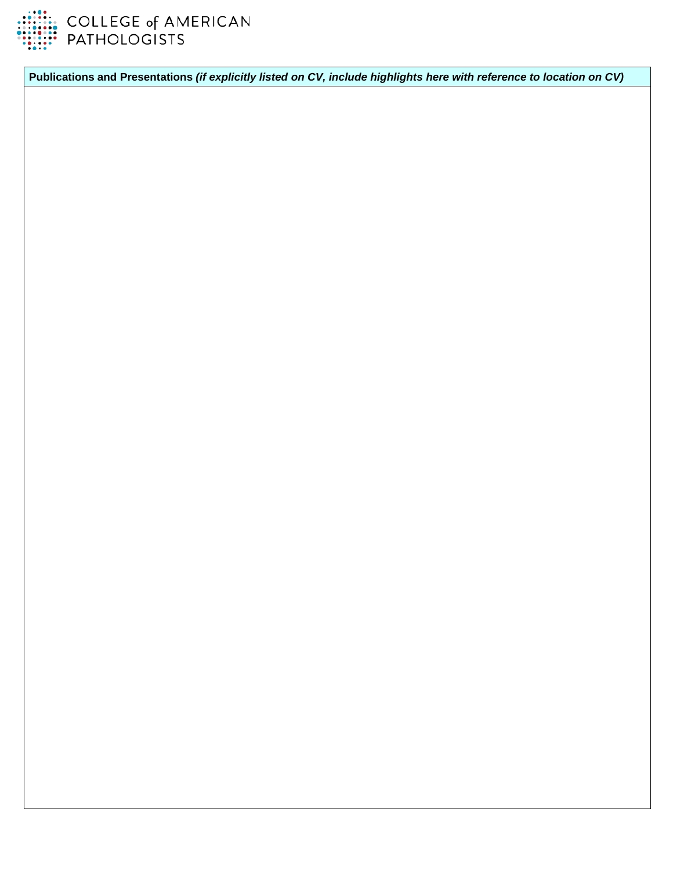

**Publications and Presentations** *(if explicitly listed on CV, include highlights here with reference to location on CV)*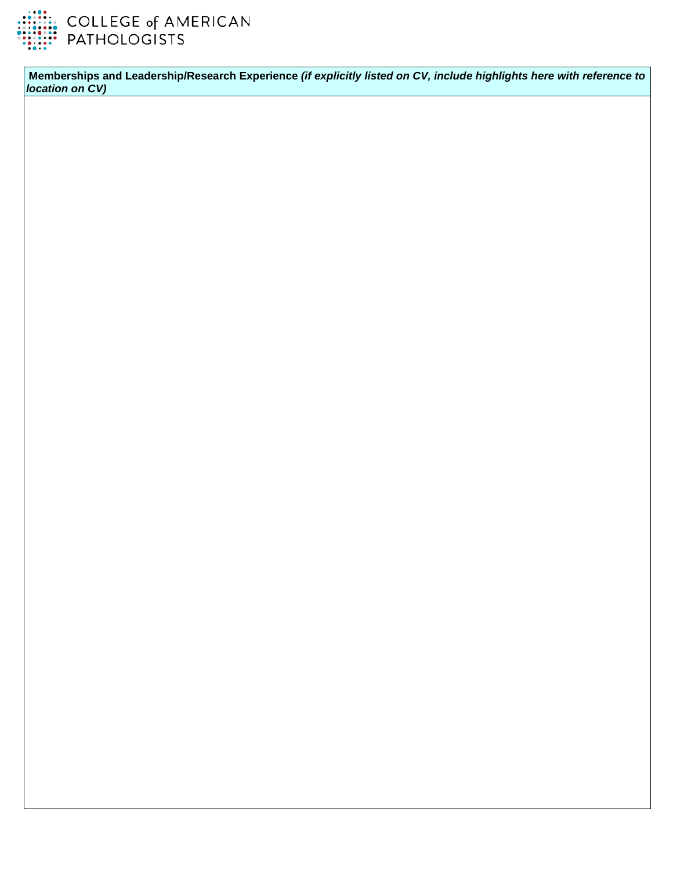

**Memberships and Leadership/Research Experience** *(if explicitly listed on CV, include highlights here with reference to location on CV)*